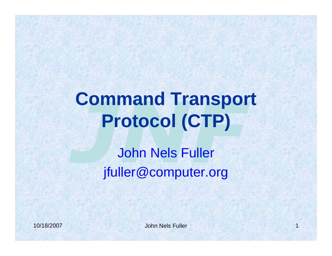## **Command Transport Protocol (CTP)**

John Nels Fuller jfuller@computer.org

John Nels Fuller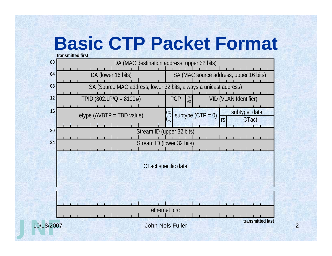### **Basic CTP Packet Format**

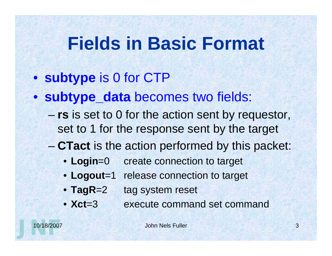#### **Fields in Basic Format**

- **subtype** is 0 for CTP
- **subtype\_data** becomes two fields:
	- **rs** is set to 0 for the action sent by requestor, set to 1 for the response sent by the target
	- **CTact** is the action performed by this packet:
		- **Login**=0 create connection to target
		- **Logout**=1 release connection to target
		- **TagR**=2 tag system reset
		- **Xct**=3 execute command set command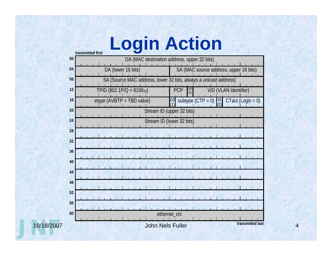### **Login Action**

| 00         |                                | u di istitucu tii st<br>DA (MAC destination address, upper 32 bits) |  |
|------------|--------------------------------|---------------------------------------------------------------------|--|
| 04         | DA (lower 16 bits)             | SA (MAC source address, upper 16 bits)                              |  |
| 08         |                                | SA (Source MAC address, lower 32 bits, always a unicast address)    |  |
| 12         | TPID (802.1P/Q = $8100_{16}$ ) | PCP<br>CF <sub>(0)</sub><br>VID (VLAN Identifier)                   |  |
| 16         | $etype$ (AVBTP = TBD value)    | subtype $(CTP = 0)$<br>$CTact (Login = 0)$<br>$\mathsf{I}$ rs       |  |
| 20         |                                | Stream ID (upper 32 bits)                                           |  |
| 24         | Stream ID (lower 32 bits)      |                                                                     |  |
| 28         |                                |                                                                     |  |
| 32         |                                |                                                                     |  |
| 36         |                                |                                                                     |  |
| 40         |                                |                                                                     |  |
| 44         |                                |                                                                     |  |
| 48         |                                |                                                                     |  |
| 52         |                                |                                                                     |  |
| 56         |                                |                                                                     |  |
| 60         |                                | ethernet_crc                                                        |  |
| 10/18/2007 |                                | transmitted last<br><b>John Nels Fuller</b>                         |  |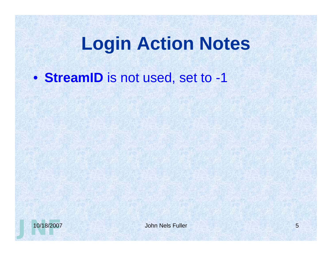#### **Login Action Notes**

• **StreamID** is not used, set to -1

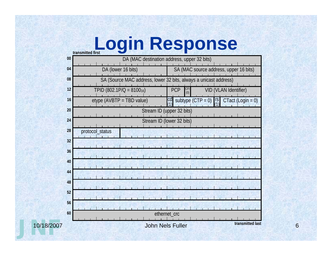# **Login Response**

| 00         | DA (MAC destination address, upper 32 bits)                      |                                                                      |
|------------|------------------------------------------------------------------|----------------------------------------------------------------------|
| 04         | DA (lower 16 bits)                                               | SA (MAC source address, upper 16 bits)                               |
| 08         | SA (Source MAC address, lower 32 bits, always a unicast address) |                                                                      |
| 12         | TPID $(802.1P/Q = 810016)$                                       | $CFI$<br>$(0)$<br>PCP<br>VID (VLAN Identifier)                       |
| 16         | $etype$ (AVBTP = TBD value)                                      | $CTact (Login = 0)$<br>subtype $(CTP = 0)$<br>$\mathsf{r}\mathsf{s}$ |
| 20         | Stream ID (upper 32 bits)                                        |                                                                      |
| 24         | Stream ID (lower 32 bits)                                        |                                                                      |
| 28         | protocol_status                                                  |                                                                      |
| 32         |                                                                  |                                                                      |
| 36         |                                                                  |                                                                      |
| 40         |                                                                  |                                                                      |
| 44         |                                                                  |                                                                      |
| 48         |                                                                  |                                                                      |
| 52         |                                                                  |                                                                      |
| 56         |                                                                  |                                                                      |
| 60         |                                                                  | ethernet_crc                                                         |
| 10/18/2007 |                                                                  | transmitted last<br><b>John Nels Fuller</b>                          |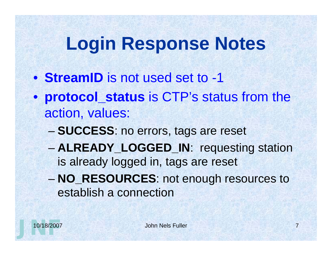## **Login Response Notes**

- **StreamID** is not used set to -1
- **protocol\_status** is CTP's status from the action, values:
	- **SUCCESS**: no errors, tags are reset
	- **ALREADY\_LOGGED\_IN**: requesting station is already logged in, tags are reset
	- **NO\_RESOURCES**: not enough resources to establish a connection

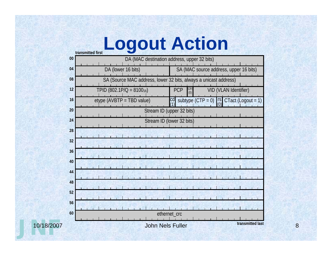#### **Logout Action**

|            | 00 | u unonnuu ni J<br>DA (MAC destination address, upper 32 bits)    |                                                      |  |
|------------|----|------------------------------------------------------------------|------------------------------------------------------|--|
|            | 04 | DA (lower 16 bits)                                               | SA (MAC source address, upper 16 bits)               |  |
|            | 08 | SA (Source MAC address, lower 32 bits, always a unicast address) |                                                      |  |
|            | 12 | TPID (802.1P/Q = 810016)                                         | <b>PCP</b><br>$CF$<br>$(0)$<br>VID (VLAN Identifier) |  |
|            | 16 | etype (AVBTP = TBD value)                                        | CTact (Logout = 1)<br>subtype $(CTP = 0)$<br>TS      |  |
|            | 20 | Stream ID (upper 32 bits)                                        |                                                      |  |
|            | 24 | Stream ID (lower 32 bits)                                        |                                                      |  |
|            | 28 |                                                                  |                                                      |  |
|            | 32 |                                                                  |                                                      |  |
|            | 36 |                                                                  |                                                      |  |
|            | 40 |                                                                  |                                                      |  |
|            | 44 |                                                                  |                                                      |  |
|            | 48 |                                                                  |                                                      |  |
|            | 52 |                                                                  |                                                      |  |
|            | 56 |                                                                  |                                                      |  |
|            | 60 |                                                                  | ethernet_crc                                         |  |
| 10/18/2007 |    |                                                                  | transmitted last<br><b>John Nels Fuller</b>          |  |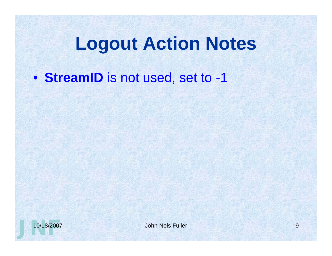#### **Logout Action Notes**

• **StreamID** is not used, set to -1

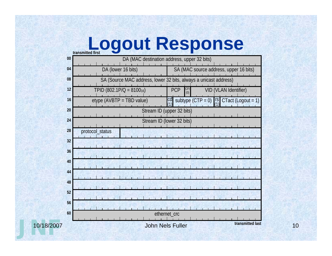# **transmitted first Logout Response**

| 00         | DA (MAC destination address, upper 32 bits)                      |                                                                     |
|------------|------------------------------------------------------------------|---------------------------------------------------------------------|
| 04         | DA (lower 16 bits)                                               | SA (MAC source address, upper 16 bits)                              |
| 08         | SA (Source MAC address, lower 32 bits, always a unicast address) |                                                                     |
| 12         | TPID $(802.1P/Q = 810016)$                                       | $CFI$<br>$(0)$<br>PCP<br>VID (VLAN Identifier)                      |
| 16         | $etype$ (AVBTP = TBD value)                                      | CTact (Logout = 1)<br>subtype $(CTP = 0)$<br>$\mathsf{r}\mathsf{s}$ |
| 20         | Stream ID (upper 32 bits)                                        |                                                                     |
| 24         | Stream ID (lower 32 bits)                                        |                                                                     |
| 28         | protocol_status                                                  |                                                                     |
| 32         |                                                                  |                                                                     |
| 36         |                                                                  |                                                                     |
| 40         |                                                                  |                                                                     |
| 44         |                                                                  |                                                                     |
| 48         |                                                                  |                                                                     |
| 52         |                                                                  |                                                                     |
| 56         |                                                                  |                                                                     |
| 60         |                                                                  | ethernet_crc                                                        |
| 10/18/2007 |                                                                  | transmitted last<br><b>John Nels Fuller</b>                         |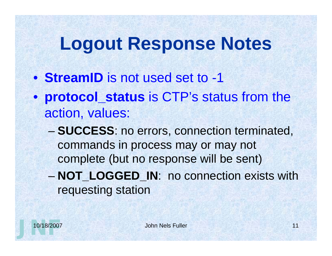#### **Logout Response Notes**

- **StreamID** is not used set to -1
- **protocol\_status** is CTP's status from the action, values:
	- **SUCCESS**: no errors, connection terminated, commands in process may or may not complete (but no response will be sent)
	- **NOT\_LOGGED\_IN**: no connection exists with requesting station

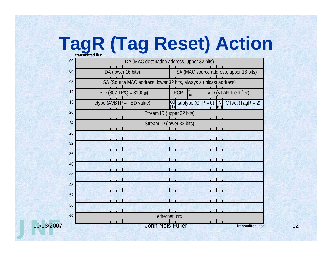# **TagR (Tag Reset) Action**

| 00         | <b>U GITSHIRT CU THIST</b><br>DA (MAC destination address, upper 32 bits) |                                                                  |  |
|------------|---------------------------------------------------------------------------|------------------------------------------------------------------|--|
|            |                                                                           |                                                                  |  |
| 04         | DA (lower 16 bits)                                                        | SA (MAC source address, upper 16 bits)                           |  |
| 08         |                                                                           | SA (Source MAC address, lower 32 bits, always a unicast address) |  |
| 12         | TPID (802.1P/Q = 810016)                                                  | <b>PCP</b><br>VID (VLAN Identifier)<br>(0)                       |  |
| 16         | $etype$ (AVBTP = TBD value)                                               | subtype $(CTP = 0)$<br>$CTact (TagR = 2)$<br>$\frac{1}{2}$       |  |
| 20         | Stream ID (upper 32 bits)                                                 |                                                                  |  |
| 24         | Stream ID (lower 32 bits)                                                 |                                                                  |  |
| 28         |                                                                           |                                                                  |  |
| 32         |                                                                           |                                                                  |  |
| 36         |                                                                           |                                                                  |  |
| 40         |                                                                           |                                                                  |  |
| 44         |                                                                           |                                                                  |  |
| 48         |                                                                           |                                                                  |  |
| 52         |                                                                           |                                                                  |  |
| 56         |                                                                           |                                                                  |  |
| 60         |                                                                           | ethernet_crc                                                     |  |
| 10/18/2007 |                                                                           | John Nels Fuller<br>transmitted last                             |  |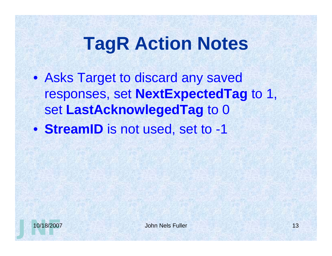### **TagR Action Notes**

- Asks Target to discard any saved responses, set **NextExpectedTag** to 1, set **LastAcknowlegedTag** to 0
- **StreamID** is not used, set to -1

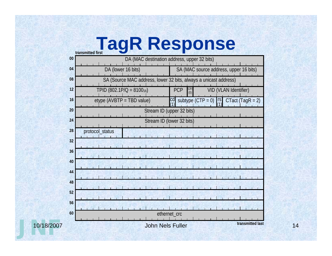# **transmitted first TagR Response**

| 00         | u unonnuu ni J<br>DA (MAC destination address, upper 32 bits) |                                                                  |
|------------|---------------------------------------------------------------|------------------------------------------------------------------|
| 04         | DA (lower 16 bits)                                            | SA (MAC source address, upper 16 bits)                           |
| 08         |                                                               | SA (Source MAC address, lower 32 bits, always a unicast address) |
| 12         | TPID (802.1P/Q = 810016)                                      | <b>PCP</b><br><b>CF</b><br>VID (VLAN Identifier)<br>(0)          |
| 16         | etype (AVBTP = TBD value)                                     | $CTact (TagR = 2)$<br>subtype $(CTP = 0)$<br>rs.                 |
| 20         |                                                               | Stream ID (upper 32 bits)                                        |
| 24         |                                                               | Stream ID (lower 32 bits)                                        |
| 28         | protocol_status                                               |                                                                  |
| 32         |                                                               |                                                                  |
| 36         |                                                               |                                                                  |
| 40         |                                                               |                                                                  |
| 44         |                                                               |                                                                  |
| 48         |                                                               |                                                                  |
| 52         |                                                               |                                                                  |
| 56         |                                                               |                                                                  |
| 60         |                                                               | ethernet_crc                                                     |
| 10/18/2007 |                                                               | transmitted last<br><b>John Nels Fuller</b>                      |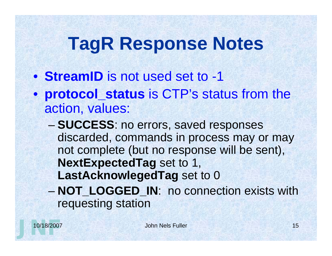## **TagR Response Notes**

- **StreamID** is not used set to -1
- **protocol\_status** is CTP's status from the action, values:
	- **SUCCESS**: no errors, saved responses discarded, commands in process may or may not complete (but no response will be sent), **NextExpectedTag** set to 1, **LastAcknowlegedTag** set to 0 – **NOT\_LOGGED\_IN**: no connection exists with requesting station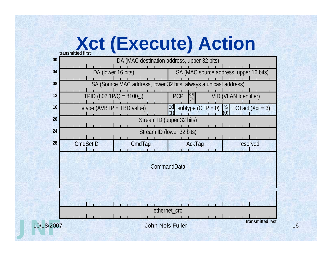## **Xct (Execute) Action**

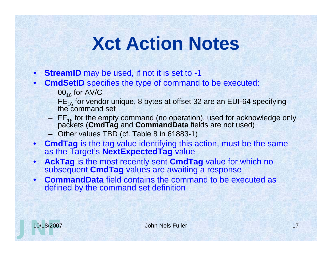### **Xct Action Notes**

- **StreamID** may be used, if not it is set to -1
- **CmdSetID** specifies the type of command to be executed:
	- $-$  00<sub>16</sub> for AV/C
	- $FE_{16}$  for vendor unique, 8 bytes at offset 32 are an EUI-64 specifying the command set
	- FF16 for the empty command (no operation), used for acknowledge only packets (**CmdTag** and **CommandData** fields are not used)
	- Other values TBD (cf. Table 8 in 61883-1)
- **CmdTag** is the tag value identifying this action, must be the same as the Target's **NextExpectedTag** value
- **AckTag** is the most recently sent **CmdTag** value for which no subsequent **CmdTag** values are awaiting a response
- **CommandData** field contains the command to be executed as defined by the command set definition

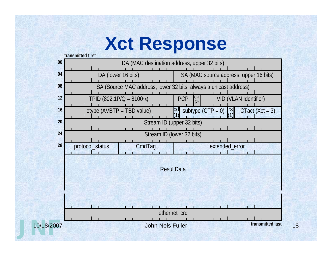#### **Xct Response**